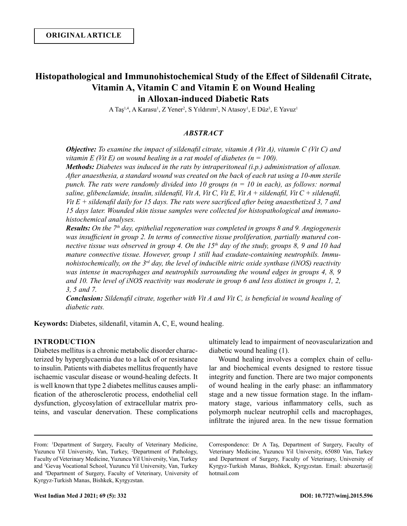# **Histopathological and Immunohistochemical Study of the Effect of Sildenafil Citrate, Vitamin A, Vitamin C and Vitamin E on Wound Healing in Alloxan-induced Diabetic Rats**

A Taş<sup>1,4</sup>, A Karasu<sup>1</sup>, Z Yener<sup>2</sup>, S Yıldırım<sup>2</sup>, N Atasoy<sup>1</sup>, E Düz<sup>3</sup>, E Yavuz<sup>ı</sup>

# *ABSTRACT*

*Objective: To examine the impact of sildenafil citrate, vitamin A (Vit A), vitamin C (Vit C) and vitamin E (Vit E) on wound healing in a rat model of diabetes (n = 100).* 

*Methods: Diabetes was induced in the rats by intraperitoneal (i.p.) administration of alloxan. After anaesthesia, a standard wound was created on the back of each rat using a 10-mm sterile punch. The rats were randomly divided into 10 groups (n = 10 in each), as follows: normal saline, glibenclamide, insulin, sildenafil, Vit A, Vit C, Vit E, Vit A + sildenafil, Vit C + sildenafil, Vit E + sildenafil daily for 15 days. The rats were sacrificed after being anaesthetized 3, 7 and 15 days later. Wounded skin tissue samples were collected for histopathological and immunohistochemical analyses.* 

*Results: On the 7th day, epithelial regeneration was completed in groups 8 and 9. Angiogenesis was insufficient in group 2. In terms of connective tissue proliferation, partially matured connective tissue was observed in group 4. On the 15th day of the study, groups 8, 9 and 10 had mature connective tissue. However, group 1 still had exudate-containing neutrophils. Immunohistochemically, on the 3rd day, the level of inducible nitric oxide synthase (iNOS) reactivity was intense in macrophages and neutrophils surrounding the wound edges in groups 4, 8, 9 and 10. The level of iNOS reactivity was moderate in group 6 and less distinct in groups 1, 2, 3, 5 and 7.*

*Conclusion: Sildenafil citrate, together with Vit A and Vit C, is beneficial in wound healing of diabetic rats.* 

**Keywords:** Diabetes, sildenafil, vitamin A, C, E, wound healing.

# **INTRODUCTION**

Diabetes mellitus is a chronic metabolic disorder characterized by hyperglycaemia due to a lack of or resistance to insulin. Patients with diabetes mellitus frequently have ischaemic vascular disease or wound-healing defects. It is well known that type 2 diabetes mellitus causes amplification of the atherosclerotic process, endothelial cell dysfunction, glycosylation of extracellular matrix proteins, and vascular denervation. These complications

ultimately lead to impairment of neovascularization and diabetic wound healing (1).

Wound healing involves a complex chain of cellular and biochemical events designed to restore tissue integrity and function. There are two major components of wound healing in the early phase: an inflammatory stage and a new tissue formation stage. In the inflammatory stage, various inflammatory cells, such as polymorph nuclear neutrophil cells and macrophages, infiltrate the injured area. In the new tissue formation

Correspondence: Dr A Taş, Department of Surgery, Faculty of Veterinary Medicine, Yuzuncu Yil University, 65080 Van, Turkey and Department of Surgery, Faculty of Veterinary, University of Kyrgyz-Turkish Manas, Bishkek, Kyrgyzstan. Email: abuzertas@ hotmail.com

From: <sup>1</sup>Department of Surgery, Faculty of Veterinary Medicine, Yuzuncu Yil University, Van, Turkey, <sup>2</sup>Department of Pathology, Faculty of Veterinary Medicine, Yuzuncu Yil University, Van, Turkey and <sup>3</sup> Gevaş Vocational School, Yuzuncu Yil University, Van, Turkey and <sup>4</sup> Department of Surgery, Faculty of Veterinary, University of Kyrgyz-Turkish Manas, Bishkek, Kyrgyzstan.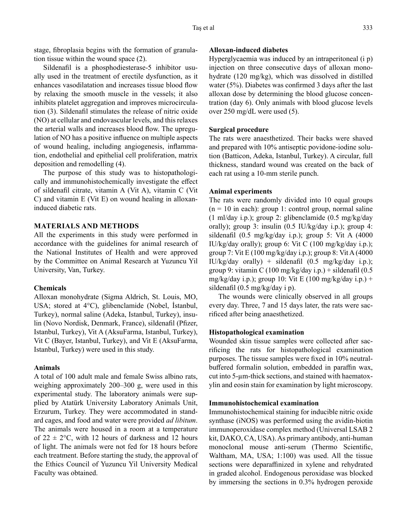stage, fibroplasia begins with the formation of granulation tissue within the wound space (2).

Sildenafil is a phosphodiesterase-5 inhibitor usually used in the treatment of erectile dysfunction, as it enhances vasodilatation and increases tissue blood flow by relaxing the smooth muscle in the vessels; it also inhibits platelet aggregation and improves microcirculation (3). Sildenafil stimulates the release of nitric oxide (NO) at cellular and endovascular levels, and this relaxes the arterial walls and increases blood flow. The upregulation of NO has a positive influence on multiple aspects of wound healing, including angiogenesis, inflammation, endothelial and epithelial cell proliferation, matrix deposition and remodelling (4).

The purpose of this study was to histopathologically and immunohistochemically investigate the effect of sildenafil citrate, vitamin A (Vit A), vitamin C (Vit C) and vitamin E (Vit E) on wound healing in alloxaninduced diabetic rats.

# **MATERIALS AND METHODS**

All the experiments in this study were performed in accordance with the guidelines for animal research of the National Institutes of Health and were approved by the Committee on Animal Research at Yuzuncu Yil University, Van, Turkey.

# **Chemicals**

Alloxan monohydrate (Sigma Aldrich, St. Louis, MO, USA; stored at 4°C), glibenclamide (Nobel, İstanbul, Turkey), normal saline (Adeka, Istanbul, Turkey), insulin (Novo Nordisk, Denmark, France), sildenafil (Pfizer, Istanbul, Turkey), Vit A (AksuFarma, Istanbul, Turkey), Vit C (Bayer, Istanbul, Turkey), and Vit E (AksuFarma, Istanbul, Turkey) were used in this study.

## **Animals**

A total of 100 adult male and female Swiss albino rats, weighing approximately 200–300 g, were used in this experimental study. The laboratory animals were supplied by Atatürk University Laboratory Animals Unit, Erzurum, Turkey. They were accommodated in standard cages, and food and water were provided *ad libitum*. The animals were housed in a room at a temperature of  $22 \pm 2$ °C, with 12 hours of darkness and 12 hours of light. The animals were not fed for 18 hours before each treatment. Before starting the study, the approval of the Ethics Council of Yuzuncu Yil University Medical Faculty was obtained.

## **Alloxan-induced diabetes**

Hyperglycaemia was induced by an intraperitoneal (i p) injection on three consecutive days of alloxan monohydrate (120 mg/kg), which was dissolved in distilled water (5%). Diabetes was confirmed 3 days after the last alloxan dose by determining the blood glucose concentration (day 6). Only animals with blood glucose levels over 250 mg/dL were used (5).

#### **Surgical procedure**

The rats were anaesthetized. Their backs were shaved and prepared with 10% antiseptic povidone-iodine solution (Batticon, Adeka, Istanbul, Turkey). A circular, full thickness, standard wound was created on the back of each rat using a 10-mm sterile punch.

# **Animal experiments**

The rats were randomly divided into 10 equal groups  $(n = 10$  in each): group 1: control group, normal saline (1 ml/day i.p.); group 2: glibenclamide (0.5 mg/kg/day orally); group 3: insulin (0.5 IU/kg/day i.p.); group 4: sildenafil (0.5 mg/kg/day i.p.); group 5: Vit A (4000 IU/kg/day orally); group 6: Vit C (100 mg/kg/day i.p.); group 7: Vit E (100 mg/kg/day i.p.); group 8: Vit A (4000 IU/kg/day orally) + sildenafil  $(0.5 \text{ mg/kg/day i.p.})$ ; group 9: vitamin C (100 mg/kg/day i.p.) + sildenafil (0.5 mg/kg/day i.p.); group 10: Vit E (100 mg/kg/day i.p.) + sildenafil (0.5 mg/kg/day i p).

The wounds were clinically observed in all groups every day. Three, 7 and 15 days later, the rats were sacrificed after being anaesthetized.

#### **Histopathological examination**

Wounded skin tissue samples were collected after sacrificing the rats for histopathological examination purposes. The tissue samples were fixed in 10% neutralbuffered formalin solution, embedded in paraffin wax, cut into 5-µm-thick sections, and stained with haematoxylin and eosin stain for examination by light microscopy.

#### **Immunohistochemical examination**

Immunohistochemical staining for inducible nitric oxide synthase (iNOS) was performed using the avidin-biotin immunoperoxidase complex method (Universal LSAB 2 kit, DAKO, CA, USA). As primary antibody, anti-human monoclonal mouse anti-serum (Thermo Scientific, Waltham, MA, USA; 1:100) was used. All the tissue sections were deparaffinized in xylene and rehydrated in graded alcohol. Endogenous peroxidase was blocked by immersing the sections in 0.3% hydrogen peroxide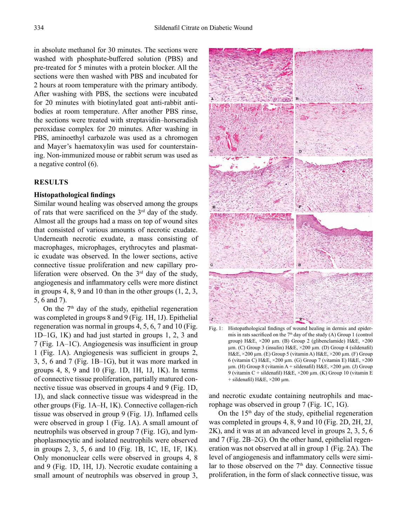in absolute methanol for 30 minutes. The sections were washed with phosphate-buffered solution (PBS) and pre-treated for 5 minutes with a protein blocker. All the sections were then washed with PBS and incubated for 2 hours at room temperature with the primary antibody. After washing with PBS, the sections were incubated for 20 minutes with biotinylated goat anti-rabbit antibodies at room temperature. After another PBS rinse, the sections were treated with streptavidin–horseradish peroxidase complex for 20 minutes. After washing in PBS, aminoethyl carbazole was used as a chromogen and Mayer's haematoxylin was used for counterstaining. Non-immunized mouse or rabbit serum was used as a negative control (6).

# **RESULTS**

## **Histopathological findings**

Similar wound healing was observed among the groups of rats that were sacrificed on the  $3<sup>rd</sup>$  day of the study. Almost all the groups had a mass on top of wound sites that consisted of various amounts of necrotic exudate. Underneath necrotic exudate, a mass consisting of macrophages, microphages, erythrocytes and plasmatic exudate was observed. In the lower sections, active connective tissue proliferation and new capillary proliferation were observed. On the  $3<sup>rd</sup>$  day of the study, angiogenesis and inflammatory cells were more distinct in groups 4, 8, 9 and 10 than in the other groups (1, 2, 3, 5, 6 and 7).

On the  $7<sup>th</sup>$  day of the study, epithelial regeneration was completed in groups 8 and 9 (Fig. 1H, 1J). Epithelial regeneration was normal in groups 4, 5, 6, 7 and 10 (Fig. 1D–1G, 1K) and had just started in groups 1, 2, 3 and 7 (Fig. 1A–1C). Angiogenesis was insufficient in group 1 (Fig. 1A). Angiogenesis was sufficient in groups 2, 3, 5, 6 and 7 (Fig. 1B–1G), but it was more marked in groups 4, 8, 9 and 10 (Fig. 1D, 1H, 1J, 1K). In terms of connective tissue proliferation, partially matured connective tissue was observed in groups 4 and 9 (Fig. 1D, 1J), and slack connective tissue was widespread in the other groups (Fig. 1A–H, 1K). Connective collagen-rich tissue was observed in group 9 (Fig. 1J). Inflamed cells were observed in group 1 (Fig. 1A). A small amount of neutrophils was observed in group 7 (Fig. 1G), and lymphoplasmocytic and isolated neutrophils were observed in groups 2, 3, 5, 6 and 10 (Fig. 1B, 1C, 1E, 1F, 1K). Only mononuclear cells were observed in groups 4, 8 and 9 (Fig. 1D, 1H, 1J). Necrotic exudate containing a small amount of neutrophils was observed in group 3,



Fig. 1: Histopathological findings of wound healing in dermis and epidermis in rats sacrificed on the  $7<sup>th</sup>$  day of the study (A) Group 1 (control group) H&E, ×200 µm. (B) Group 2 (glibenclamide) H&E, ×200 µm. (C) Group 3 (insulin) H&E, ×200 µm. (D) Group 4 (sildenafil) H&E, ×200 µm. (E) Group 5 (vitamin A) H&E, ×200 µm. (F) Group 6 (vitamin C) H&E, ×200 µm. (G) Group 7 (vitamin E) H&E, ×200  $\mu$ m. (H) Group 8 (vitamin A + sildenafil) H&E,  $\times$ 200  $\mu$ m. (J) Group 9 (vitamin C + sildenafil) H&E, ×200 µm. (K) Group 10 (vitamin E  $+$  sildenafil) H&E,  $\times$ 200 µm.

and necrotic exudate containing neutrophils and macrophage was observed in group 7 (Fig. 1C, 1G).

On the  $15<sup>th</sup>$  day of the study, epithelial regeneration was completed in groups 4, 8, 9 and 10 (Fig. 2D, 2H, 2J, 2K), and it was at an advanced level in groups 2, 3, 5, 6 and 7 (Fig. 2B–2G). On the other hand, epithelial regeneration was not observed at all in group 1 (Fig. 2A). The level of angiogenesis and inflammatory cells were similar to those observed on the 7<sup>th</sup> day. Connective tissue proliferation, in the form of slack connective tissue, was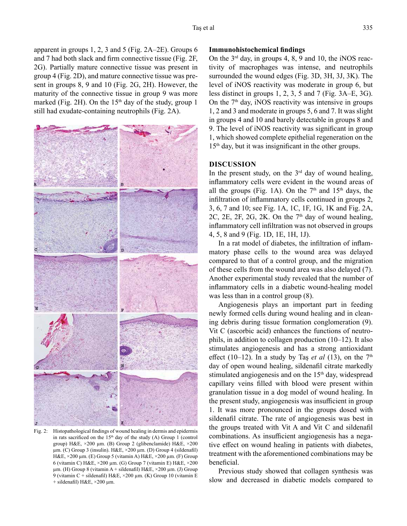apparent in groups 1, 2, 3 and 5 (Fig. 2A–2E). Groups 6 and 7 had both slack and firm connective tissue (Fig. 2F, 2G). Partially mature connective tissue was present in group 4 (Fig. 2D), and mature connective tissue was present in groups 8, 9 and 10 (Fig. 2G, 2H). However, the maturity of the connective tissue in group 9 was more marked (Fig. 2H). On the  $15<sup>th</sup>$  day of the study, group 1 still had exudate-containing neutrophils (Fig. 2A).



Fig. 2: Histopathological findings of wound healing in dermis and epidermis in rats sacrificed on the  $15<sup>th</sup>$  day of the study (A) Group 1 (control group) H&E, ×200 µm. (B) Group 2 (glibenclamide) H&E, ×200 µm. (C) Group 3 (insulin). H&E, ×200 µm. (D) Group 4 (sildenafil) H&E, ×200 µm. (E) Group 5 (vitamin A) H&E, ×200 µm. (F) Group 6 (vitamin C) H&E,  $\times$ 200 µm. (G) Group 7 (vitamin E) H&E,  $\times$ 200  $\mu$ m. (H) Group 8 (vitamin A + sildenafil) H&E,  $\times$ 200  $\mu$ m. (J) Group 9 (vitamin C + sildenafil) H&E, ×200 µm. (K) Group 10 (vitamin E  $+$  sildenafil) H&E,  $\times$ 200 µm.

# **Immunohistochemical findings**

On the  $3<sup>rd</sup>$  day, in groups 4, 8, 9 and 10, the iNOS reactivity of macrophages was intense, and neutrophils surrounded the wound edges (Fig. 3D, 3H, 3J, 3K). The level of iNOS reactivity was moderate in group 6, but less distinct in groups 1, 2, 3, 5 and 7 (Fig. 3A–E, 3G). On the  $7<sup>th</sup>$  day, iNOS reactivity was intensive in groups 1, 2 and 3 and moderate in groups 5, 6 and 7. It was slight in groups 4 and 10 and barely detectable in groups 8 and 9. The level of iNOS reactivity was significant in group 1, which showed complete epithelial regeneration on the 15<sup>th</sup> day, but it was insignificant in the other groups.

## **DISCUSSION**

In the present study, on the  $3<sup>rd</sup>$  day of wound healing, inflammatory cells were evident in the wound areas of all the groups (Fig. 1A). On the  $7<sup>th</sup>$  and  $15<sup>th</sup>$  days, the infiltration of inflammatory cells continued in groups 2, 3, 6, 7 and 10; see Fig. 1A, 1C, 1F, 1G, 1K and Fig. 2A, 2C, 2E, 2F, 2G, 2K. On the  $7<sup>th</sup>$  day of wound healing, inflammatory cell infiltration was not observed in groups 4, 5, 8 and 9 (Fig. 1D, 1E, 1H, 1J).

In a rat model of diabetes, the infiltration of inflammatory phase cells to the wound area was delayed compared to that of a control group, and the migration of these cells from the wound area was also delayed (7). Another experimental study revealed that the number of inflammatory cells in a diabetic wound-healing model was less than in a control group (8).

Angiogenesis plays an important part in feeding newly formed cells during wound healing and in cleaning debris during tissue formation conglomeration (9). Vit C (ascorbic acid) enhances the functions of neutrophils, in addition to collagen production (10–12). It also stimulates angiogenesis and has a strong antioxidant effect (10–12). In a study by Tas *et al* (13), on the  $7<sup>th</sup>$ day of open wound healing, sildenafil citrate markedly stimulated angiogenesis and on the  $15<sup>th</sup>$  day, widespread capillary veins filled with blood were present within granulation tissue in a dog model of wound healing. In the present study, angiogenesis was insufficient in group 1. It was more pronounced in the groups dosed with sildenafil citrate. The rate of angiogenesis was best in the groups treated with Vit A and Vit C and sildenafil combinations. As insufficient angiogenesis has a negative effect on wound healing in patients with diabetes, treatment with the aforementioned combinations may be beneficial.

Previous study showed that collagen synthesis was slow and decreased in diabetic models compared to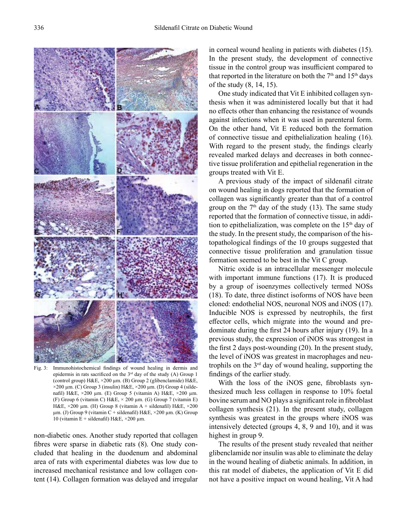

Fig. 3: Immunohistochemical findings of wound healing in dermis and epidermis in rats sacrificed on the 3rd day of the study (A) Group 1 (control group) H&E, ×200 µm. (B) Group 2 (glibenclamide) H&E,  $\times$ 200 µm. (C) Group 3 (insulin) H&E,  $\times$ 200 µm. (D) Group 4 (sildenafil) H&E, ×200 µm. (E) Group 5 (vitamin A) H&E, ×200 µm. (F) Group 6 (vitamin C)  $H \& E \times 200 \mu m$ . (G) Group 7 (vitamin E) H&E, ×200 µm. (H) Group 8 (vitamin A + sildenafil) H&E, ×200 µm. (J) Group 9 (vitamin C + sildenafil) H&E, ×200 µm. (K) Group 10 (vitamin E + sildenafil) H&E,  $\times$ 200 µm.

non-diabetic ones. Another study reported that collagen fibres were sparse in diabetic rats (8). One study concluded that healing in the duodenum and abdominal area of rats with experimental diabetes was low due to increased mechanical resistance and low collagen content (14). Collagen formation was delayed and irregular

in corneal wound healing in patients with diabetes (15). In the present study, the development of connective tissue in the control group was insufficient compared to that reported in the literature on both the  $7<sup>th</sup>$  and  $15<sup>th</sup>$  days of the study (8, 14, 15).

One study indicated that Vit E inhibited collagen synthesis when it was administered locally but that it had no effects other than enhancing the resistance of wounds against infections when it was used in parenteral form. On the other hand, Vit E reduced both the formation of connective tissue and epithelialization healing (16). With regard to the present study, the findings clearly revealed marked delays and decreases in both connective tissue proliferation and epithelial regeneration in the groups treated with Vit E.

A previous study of the impact of sildenafil citrate on wound healing in dogs reported that the formation of collagen was significantly greater than that of a control group on the  $7<sup>th</sup>$  day of the study (13). The same study reported that the formation of connective tissue, in addition to epithelialization, was complete on the  $15<sup>th</sup>$  day of the study. In the present study, the comparison of the histopathological findings of the 10 groups suggested that connective tissue proliferation and granulation tissue formation seemed to be best in the Vit C group.

Nitric oxide is an intracellular messenger molecule with important immune functions (17). It is produced by a group of isoenzymes collectively termed NOSs (18). To date, three distinct isoforms of NOS have been cloned: endothelial NOS, neuronal NOS and iNOS (17). Inducible NOS is expressed by neutrophils, the first effector cells, which migrate into the wound and predominate during the first 24 hours after injury (19). In a previous study, the expression of iNOS was strongest in the first 2 days post-wounding (20). In the present study, the level of iNOS was greatest in macrophages and neutrophils on the  $3<sup>rd</sup>$  day of wound healing, supporting the findings of the earlier study.

With the loss of the iNOS gene, fibroblasts synthesized much less collagen in response to 10% foetal bovine serum and NO plays a significant role in fibroblast collagen synthesis (21). In the present study, collagen synthesis was greatest in the groups where iNOS was intensively detected (groups 4, 8, 9 and 10), and it was highest in group 9.

The results of the present study revealed that neither glibenclamide nor insulin was able to eliminate the delay in the wound healing of diabetic animals. In addition, in this rat model of diabetes, the application of Vit E did not have a positive impact on wound healing, Vit A had